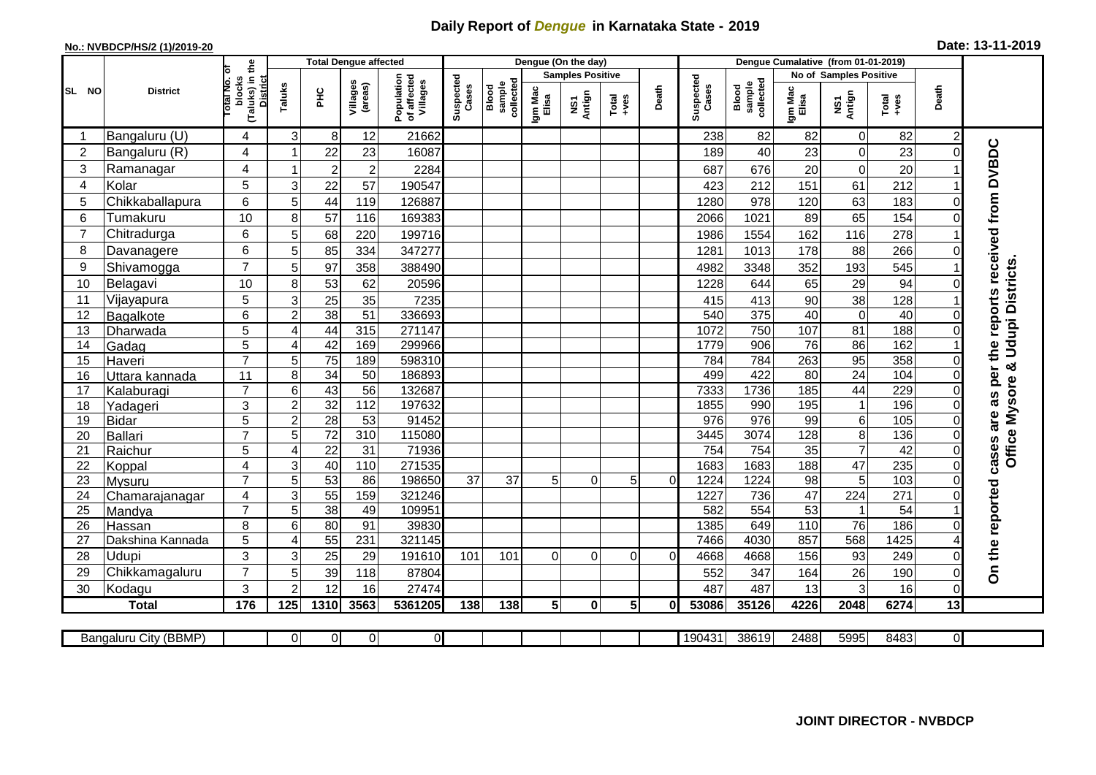## **Daily Report of** *Dengue* **in Karnataka State - 2019**

## **No.: NVBDCP/HS/2 (1)/2019-20 Date: 13-11-2019**

|                |                            |                                                              |                       |                       | <b>Total Dengue affected</b> |                                       | Dengue (On the day) |                              |                  |                         |                  |          |                    |                              |                       |                                 |                        |                |                                        |
|----------------|----------------------------|--------------------------------------------------------------|-----------------------|-----------------------|------------------------------|---------------------------------------|---------------------|------------------------------|------------------|-------------------------|------------------|----------|--------------------|------------------------------|-----------------------|---------------------------------|------------------------|----------------|----------------------------------------|
|                |                            |                                                              |                       |                       |                              |                                       |                     |                              |                  | <b>Samples Positive</b> |                  |          |                    |                              |                       | <b>No of Samples Positive</b>   |                        |                |                                        |
| SL NO          | <b>District</b>            | (Taluks) in the<br>Total No. of<br>blocks<br><b>District</b> | Taluks                | ΞÉ                    | Villages<br>(areas)          | Population<br>of affected<br>Villages | Suspected<br>Cases  | sample<br>collected<br>Blood | Igm Mac<br>Elisa | NS1<br>Antign           | $Tota$<br>$+ves$ | Death    | Suspected<br>Cases | collected<br>sample<br>Blood | Igm Mac<br>Elisa      | NS1<br>Antign                   | $Tota$<br>$+ves$       | Death          |                                        |
|                | Bangaluru (U)              | 4                                                            | $\mathbf{3}$          | 8                     | 12                           | 21662                                 |                     |                              |                  |                         |                  |          | 238                | 82                           | 82                    | $\pmb{0}$                       | 82                     | $\overline{c}$ |                                        |
| $\overline{2}$ | Bangaluru (R)              | 4                                                            |                       | 22                    | 23                           | 16087                                 |                     |                              |                  |                         |                  |          | 189                | 40                           | 23                    | $\mathbf 0$                     | 23                     | $\Omega$       | as per the reports received from DVBDC |
| 3              | Ramanagar                  | 4                                                            |                       | $\overline{2}$        | $\overline{c}$               | 2284                                  |                     |                              |                  |                         |                  |          | 687                | 676                          | 20                    | $\boldsymbol{0}$                | 20                     |                |                                        |
| 4              | Kolar                      | 5                                                            | 3                     | 22                    | 57                           | 190547                                |                     |                              |                  |                         |                  |          | 423                | 212                          | 151                   | 61                              | 212                    |                |                                        |
| 5              | Chikkaballapura            | 6                                                            | 5                     | 44                    | 119                          | 126887                                |                     |                              |                  |                         |                  |          | 1280               | 978                          | 120                   | 63                              | 183                    | 0              |                                        |
| 6              | Tumakuru                   | 10                                                           | 8                     | 57                    | 116                          | 169383                                |                     |                              |                  |                         |                  |          | 2066               | 1021                         | 89                    | 65                              | 154                    | 0              |                                        |
| $\overline{7}$ | Chitradurga                | 6                                                            | 5                     | 68                    | 220                          | 199716                                |                     |                              |                  |                         |                  |          | 1986               | 1554                         | 162                   | 116                             | 278                    |                |                                        |
| 8              | Davanagere                 | 6                                                            | 5                     | 85                    | 334                          | 347277                                |                     |                              |                  |                         |                  |          | 1281               | 1013                         | 178                   | 88                              | 266                    | 0              |                                        |
| 9              | Shivamogga                 | $\overline{7}$                                               | 5                     | 97                    | 358                          | 388490                                |                     |                              |                  |                         |                  |          | 4982               | 3348                         | 352                   | 193                             | 545                    |                | <b>Udupi Districts</b>                 |
| 10             | Belagavi                   | 10                                                           | 8                     | 53                    | 62                           | 20596                                 |                     |                              |                  |                         |                  |          | 1228               | 644                          | 65                    | 29                              | 94                     |                |                                        |
| 11             | Vijayapura                 | 5                                                            | 3                     | 25                    | 35                           | 7235                                  |                     |                              |                  |                         |                  |          | 415                | 413                          | 90                    | 38                              | 128                    |                |                                        |
| 12             | Bagalkote                  | $6\phantom{1}$                                               | $\overline{2}$        | 38                    | 51                           | 336693                                |                     |                              |                  |                         |                  |          | 540                | 375                          | 40                    | $\pmb{0}$                       | 40                     | $\Omega$       |                                        |
| 13             | Dharwada                   | 5                                                            | $\overline{4}$        | 44                    | 315                          | 271147                                |                     |                              |                  |                         |                  |          | 1072               | 750                          | 107                   | 81                              | 188                    | $\Omega$       |                                        |
| 14             | Gadag                      | $\overline{5}$                                               | $\overline{4}$        | 42                    | 169                          | 299966                                |                     |                              |                  |                         |                  |          | 1779               | 906                          | $\overline{76}$       | 86                              | 162                    |                |                                        |
| 15             | Haveri                     | $\overline{7}$                                               | 5                     | $\overline{75}$       | 189                          | 598310                                |                     |                              |                  |                         |                  |          | 784                | 784                          | 263                   | 95                              | 358                    | 0              | ×                                      |
| 16             | Uttara kannada             | 11                                                           | 8                     | $\overline{34}$       | 50                           | 186893                                |                     |                              |                  |                         |                  |          | 499                | 422                          | 80                    | $\overline{24}$                 | 104                    | 0              |                                        |
| 17             | Kalaburagi                 | $\overline{7}$                                               | 6                     | 43                    | 56                           | 132687                                |                     |                              |                  |                         |                  |          | 7333               | 1736                         | 185                   | 44                              | 229                    | 0              |                                        |
| 18             | Yadageri                   | 3                                                            | $\overline{2}$        | 32                    | 112                          | 197632                                |                     |                              |                  |                         |                  |          | 1855               | 990                          | 195                   | $\mathbf{1}$                    | 196                    | 0              |                                        |
| 19             | <b>Bidar</b>               | 5                                                            | $\mathbf 2$           | $\overline{28}$       | $\overline{53}$              | 91452                                 |                     |                              |                  |                         |                  |          | 976                | $\overline{976}$             | 99                    | $\,6$                           | 105                    | $\Omega$       | are                                    |
| 20             | Ballari                    | $\overline{7}$                                               | 5                     | 72                    | 310                          | 115080                                |                     |                              |                  |                         |                  |          | 3445               | 3074                         | 128                   | $\overline{8}$                  | 136                    | $\Omega$       |                                        |
| 21             | Raichur                    | $\overline{5}$                                               | 4                     | 22                    | $\overline{31}$              | 71936                                 |                     |                              |                  |                         |                  |          | 754                | 754                          | $\overline{35}$       | $\overline{7}$                  | 42                     | $\Omega$       | <b>Office Mysore</b><br>cases          |
| 22             | Koppal                     | 4                                                            | 3                     | 40                    | 110                          | 271535                                |                     |                              |                  |                         |                  |          | 1683               | 1683                         | 188                   | 47                              | 235                    | $\Omega$       |                                        |
| 23             | Mysuru                     | $\overline{7}$                                               | $\overline{5}$        | 53                    | 86                           | 198650                                | $\overline{37}$     | 37                           | 5                | $\Omega$                | 5                | $\Omega$ | 1224               | 1224                         | $\overline{98}$       | $\overline{5}$                  | 103                    | $\Omega$       |                                        |
| 24             | Chamarajanagar             | 4<br>$\overline{7}$                                          | 3<br>$\overline{5}$   | 55                    | 159<br>49                    | 321246<br>109951                      |                     |                              |                  |                         |                  |          | 1227<br>582        | 736<br>554                   | $\overline{47}$<br>53 | $\overline{224}$                | $\overline{271}$<br>54 | 0              |                                        |
| 25<br>26       | Mandya                     | 8                                                            | 6                     | $\overline{38}$<br>80 | 91                           | 39830                                 |                     |                              |                  |                         |                  |          | 1385               | 649                          | 110                   | $\mathbf{1}$<br>$\overline{76}$ | 186                    | O              |                                        |
| 27             | Hassan<br>Dakshina Kannada | 5                                                            | $\boldsymbol{\Delta}$ | 55                    | 231                          | 321145                                |                     |                              |                  |                         |                  |          | 7466               | 4030                         | 857                   | 568                             | 1425                   |                |                                        |
| 28             | <b>Udupi</b>               | 3                                                            | 3                     | 25                    | 29                           | 191610                                | 101                 | 101                          | $\Omega$         | $\Omega$                | 0                | $\Omega$ | 4668               | 4668                         | 156                   | 93                              | 249                    | 0              |                                        |
| 29             | Chikkamagaluru             | $\overline{7}$                                               | 5                     | 39                    | 118                          | 87804                                 |                     |                              |                  |                         |                  |          | 552                | 347                          | 164                   | 26                              | 190                    | 0              | On the reported                        |
| 30             | Kodagu                     | 3                                                            | $\overline{c}$        | 12                    | 16                           | 27474                                 |                     |                              |                  |                         |                  |          | 487                | 487                          | 13                    | 3                               | 16                     | $\mathbf 0$    |                                        |
|                | <b>Total</b>               | 176                                                          | 125                   | 1310                  | 3563                         | 5361205                               | 138                 | 138                          | $5\phantom{.0}$  | $\mathbf{0}$            | 5                | ΩI       | 53086              | 35126                        | 4226                  | 2048                            | 6274                   | 13             |                                        |
|                |                            |                                                              |                       |                       |                              |                                       |                     |                              |                  |                         |                  |          |                    |                              |                       |                                 |                        |                |                                        |
|                | Bangaluru City (BBMP)      |                                                              | $\Omega$              | $\overline{0}$        | $\pmb{0}$                    | $\overline{O}$                        |                     |                              |                  |                         |                  |          | 190431             | 38619                        | 2488                  | 5995                            | 8483                   | $\overline{0}$ |                                        |